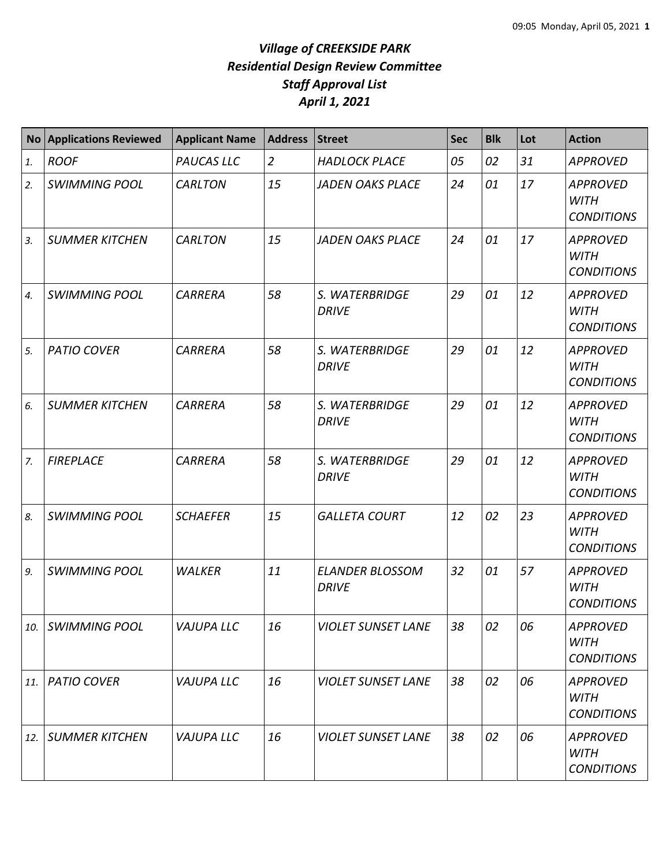| <b>No</b> | <b>Applications Reviewed</b> | <b>Applicant Name</b> | <b>Address</b> | <b>Street</b>                          | Sec | <b>Blk</b> | Lot | <b>Action</b>                                       |
|-----------|------------------------------|-----------------------|----------------|----------------------------------------|-----|------------|-----|-----------------------------------------------------|
| 1.        | <b>ROOF</b>                  | PAUCAS LLC            | $\overline{2}$ | <b>HADLOCK PLACE</b>                   | 05  | 02         | 31  | <b>APPROVED</b>                                     |
| 2.        | <b>SWIMMING POOL</b>         | <b>CARLTON</b>        | 15             | <b>JADEN OAKS PLACE</b>                | 24  | 01         | 17  | <b>APPROVED</b><br><b>WITH</b><br><b>CONDITIONS</b> |
| 3.        | <b>SUMMER KITCHEN</b>        | <b>CARLTON</b>        | 15             | <b>JADEN OAKS PLACE</b>                | 24  | 01         | 17  | <b>APPROVED</b><br><b>WITH</b><br><b>CONDITIONS</b> |
| 4.        | <b>SWIMMING POOL</b>         | <b>CARRERA</b>        | 58             | S. WATERBRIDGE<br><b>DRIVE</b>         | 29  | 01         | 12  | <b>APPROVED</b><br><b>WITH</b><br><b>CONDITIONS</b> |
| 5.        | <b>PATIO COVER</b>           | <b>CARRERA</b>        | 58             | S. WATERBRIDGE<br><b>DRIVE</b>         | 29  | 01         | 12  | <b>APPROVED</b><br><b>WITH</b><br><b>CONDITIONS</b> |
| 6.        | <b>SUMMER KITCHEN</b>        | <b>CARRERA</b>        | 58             | S. WATERBRIDGE<br><b>DRIVE</b>         | 29  | 01         | 12  | <b>APPROVED</b><br><b>WITH</b><br><b>CONDITIONS</b> |
| 7.        | <b>FIREPLACE</b>             | <b>CARRERA</b>        | 58             | S. WATERBRIDGE<br><b>DRIVE</b>         | 29  | 01         | 12  | <b>APPROVED</b><br><b>WITH</b><br><b>CONDITIONS</b> |
| 8.        | <b>SWIMMING POOL</b>         | <b>SCHAEFER</b>       | 15             | <b>GALLETA COURT</b>                   | 12  | 02         | 23  | <b>APPROVED</b><br><b>WITH</b><br><b>CONDITIONS</b> |
| 9.        | <b>SWIMMING POOL</b>         | <b>WALKER</b>         | 11             | <b>ELANDER BLOSSOM</b><br><b>DRIVE</b> | 32  | 01         | 57  | <b>APPROVED</b><br><b>WITH</b><br><b>CONDITIONS</b> |
| 10.       | <b>SWIMMING POOL</b>         | <b>VAJUPA LLC</b>     | 16             | <b>VIOLET SUNSET LANE</b>              | 38  | 02         | 06  | <b>APPROVED</b><br><b>WITH</b><br><b>CONDITIONS</b> |
| 11.       | <b>PATIO COVER</b>           | <b>VAJUPA LLC</b>     | 16             | <b>VIOLET SUNSET LANE</b>              | 38  | 02         | 06  | <b>APPROVED</b><br><b>WITH</b><br><b>CONDITIONS</b> |
| 12.       | <b>SUMMER KITCHEN</b>        | <b>VAJUPA LLC</b>     | 16             | <b>VIOLET SUNSET LANE</b>              | 38  | 02         | 06  | <b>APPROVED</b><br>WITH<br><b>CONDITIONS</b>        |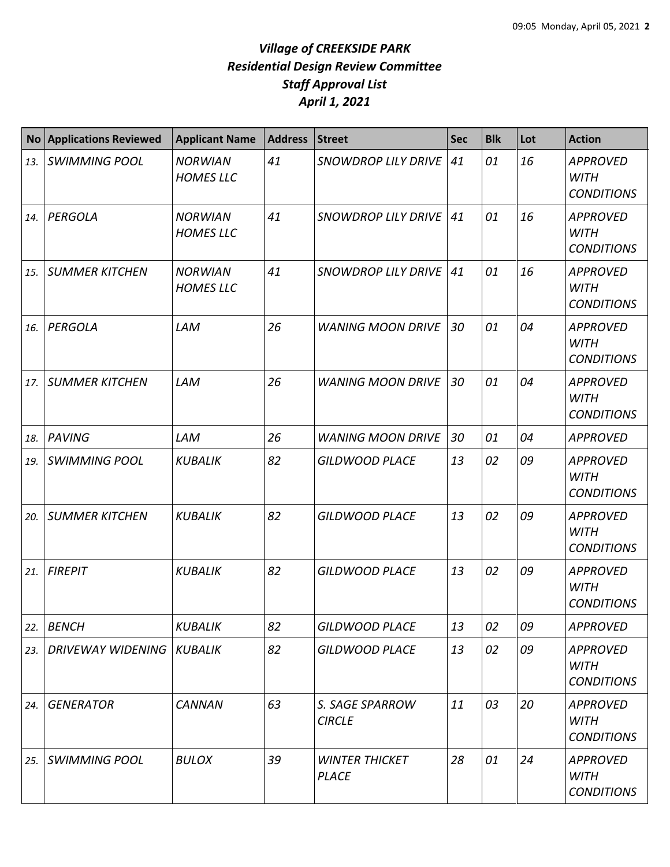| <b>No</b> | <b>Applications Reviewed</b> | <b>Applicant Name</b>              | <b>Address</b> | <b>Street</b>                         | <b>Sec</b> | <b>Blk</b> | Lot | <b>Action</b>                                       |
|-----------|------------------------------|------------------------------------|----------------|---------------------------------------|------------|------------|-----|-----------------------------------------------------|
| 13.       | <b>SWIMMING POOL</b>         | <b>NORWIAN</b><br><b>HOMES LLC</b> | 41             | <b>SNOWDROP LILY DRIVE</b>            | 41         | 01         | 16  | <b>APPROVED</b><br><b>WITH</b><br><b>CONDITIONS</b> |
| 14.       | PERGOLA                      | <b>NORWIAN</b><br><b>HOMES LLC</b> | 41             | <b>SNOWDROP LILY DRIVE</b>            | 41         | 01         | 16  | <b>APPROVED</b><br><b>WITH</b><br><b>CONDITIONS</b> |
| 15.       | <b>SUMMER KITCHEN</b>        | <b>NORWIAN</b><br><b>HOMES LLC</b> | 41             | <b>SNOWDROP LILY DRIVE</b>            | 41         | 01         | 16  | <b>APPROVED</b><br><b>WITH</b><br><b>CONDITIONS</b> |
| 16.       | PERGOLA                      | LAM                                | 26             | <b>WANING MOON DRIVE</b>              | 30         | 01         | 04  | <b>APPROVED</b><br><b>WITH</b><br><b>CONDITIONS</b> |
| 17.       | <b>SUMMER KITCHEN</b>        | LAM                                | 26             | <b>WANING MOON DRIVE</b>              | 30         | 01         | 04  | <b>APPROVED</b><br><b>WITH</b><br><b>CONDITIONS</b> |
| 18.       | <b>PAVING</b>                | LAM                                | 26             | <b>WANING MOON DRIVE</b>              | 30         | 01         | 04  | <b>APPROVED</b>                                     |
| 19.       | <b>SWIMMING POOL</b>         | <b>KUBALIK</b>                     | 82             | <b>GILDWOOD PLACE</b>                 | 13         | 02         | 09  | <b>APPROVED</b><br><b>WITH</b><br><b>CONDITIONS</b> |
| 20.       | <b>SUMMER KITCHEN</b>        | <b>KUBALIK</b>                     | 82             | <b>GILDWOOD PLACE</b>                 | 13         | 02         | 09  | <b>APPROVED</b><br><b>WITH</b><br><b>CONDITIONS</b> |
| 21.       | <b>FIREPIT</b>               | <b>KUBALIK</b>                     | 82             | <b>GILDWOOD PLACE</b>                 | 13         | 02         | 09  | <b>APPROVED</b><br><b>WITH</b><br><b>CONDITIONS</b> |
| 22.       | <b>BENCH</b>                 | <b>KUBALIK</b>                     | 82             | <b>GILDWOOD PLACE</b>                 | 13         | 02         | 09  | <b>APPROVED</b>                                     |
| 23.       | <b>DRIVEWAY WIDENING</b>     | KUBALIK                            | 82             | <b>GILDWOOD PLACE</b>                 | 13         | 02         | 09  | <b>APPROVED</b><br><b>WITH</b><br><b>CONDITIONS</b> |
| 24.       | <b>GENERATOR</b>             | <b>CANNAN</b>                      | 63             | S. SAGE SPARROW<br><b>CIRCLE</b>      | 11         | 03         | 20  | <b>APPROVED</b><br><b>WITH</b><br><b>CONDITIONS</b> |
| 25.       | <b>SWIMMING POOL</b>         | <b>BULOX</b>                       | 39             | <b>WINTER THICKET</b><br><b>PLACE</b> | 28         | 01         | 24  | <b>APPROVED</b><br><b>WITH</b><br><b>CONDITIONS</b> |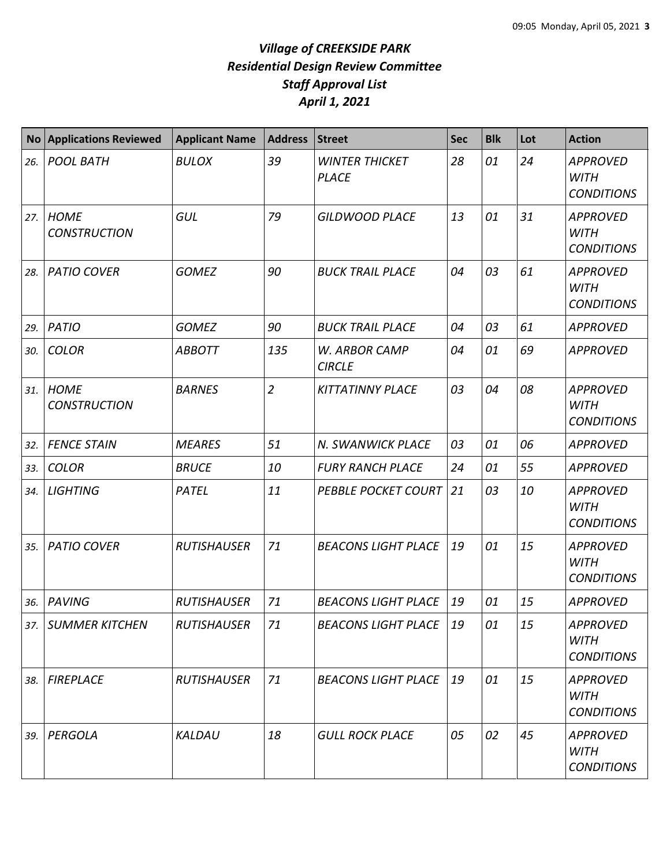| <b>No</b> | <b>Applications Reviewed</b>       | <b>Applicant Name</b> | <b>Address</b> | <b>Street</b>                         | <b>Sec</b> | <b>Blk</b> | Lot | <b>Action</b>                                       |
|-----------|------------------------------------|-----------------------|----------------|---------------------------------------|------------|------------|-----|-----------------------------------------------------|
| 26.       | <b>POOL BATH</b>                   | <b>BULOX</b>          | 39             | <b>WINTER THICKET</b><br><b>PLACE</b> | 28         | 01         | 24  | <b>APPROVED</b><br><b>WITH</b><br><b>CONDITIONS</b> |
| 27.       | <b>HOME</b><br><b>CONSTRUCTION</b> | GUL                   | 79             | <b>GILDWOOD PLACE</b>                 | 13         | 01         | 31  | <b>APPROVED</b><br><b>WITH</b><br><b>CONDITIONS</b> |
| 28.       | <b>PATIO COVER</b>                 | <b>GOMEZ</b>          | 90             | <b>BUCK TRAIL PLACE</b>               | 04         | 03         | 61  | <b>APPROVED</b><br><b>WITH</b><br><b>CONDITIONS</b> |
| 29.       | <b>PATIO</b>                       | <b>GOMEZ</b>          | 90             | <b>BUCK TRAIL PLACE</b>               | 04         | 03         | 61  | <b>APPROVED</b>                                     |
| 30.       | <b>COLOR</b>                       | <b>ABBOTT</b>         | 135            | W. ARBOR CAMP<br><b>CIRCLE</b>        | 04         | 01         | 69  | <b>APPROVED</b>                                     |
| 31.       | <b>HOME</b><br><b>CONSTRUCTION</b> | <b>BARNES</b>         | $\overline{2}$ | <b>KITTATINNY PLACE</b>               | 03         | 04         | 08  | <b>APPROVED</b><br><b>WITH</b><br><b>CONDITIONS</b> |
| 32.       | <b>FENCE STAIN</b>                 | <b>MEARES</b>         | 51             | N. SWANWICK PLACE                     | 03         | 01         | 06  | <b>APPROVED</b>                                     |
| 33.       | <b>COLOR</b>                       | <b>BRUCE</b>          | 10             | <b>FURY RANCH PLACE</b>               | 24         | 01         | 55  | <b>APPROVED</b>                                     |
| 34.       | <b>LIGHTING</b>                    | PATEL                 | 11             | <b>PEBBLE POCKET COURT</b>            | 21         | 03         | 10  | <b>APPROVED</b><br><b>WITH</b><br><b>CONDITIONS</b> |
| 35.       | <b>PATIO COVER</b>                 | <b>RUTISHAUSER</b>    | 71             | <b>BEACONS LIGHT PLACE</b>            | 19         | 01         | 15  | <b>APPROVED</b><br><b>WITH</b><br><b>CONDITIONS</b> |
| 36.       | <b>PAVING</b>                      | <b>RUTISHAUSER</b>    | 71             | <b>BEACONS LIGHT PLACE</b>            | 19         | 01         | 15  | <b>APPROVED</b>                                     |
| 37.       | <b>SUMMER KITCHEN</b>              | <b>RUTISHAUSER</b>    | 71             | <b>BEACONS LIGHT PLACE</b>            | 19         | 01         | 15  | <b>APPROVED</b><br><b>WITH</b><br><b>CONDITIONS</b> |
| 38.       | <b>FIREPLACE</b>                   | <b>RUTISHAUSER</b>    | 71             | <b>BEACONS LIGHT PLACE</b>            | 19         | 01         | 15  | <b>APPROVED</b><br><b>WITH</b><br><b>CONDITIONS</b> |
| 39.       | PERGOLA                            | KALDAU                | 18             | <b>GULL ROCK PLACE</b>                | 05         | 02         | 45  | <b>APPROVED</b><br><b>WITH</b><br><b>CONDITIONS</b> |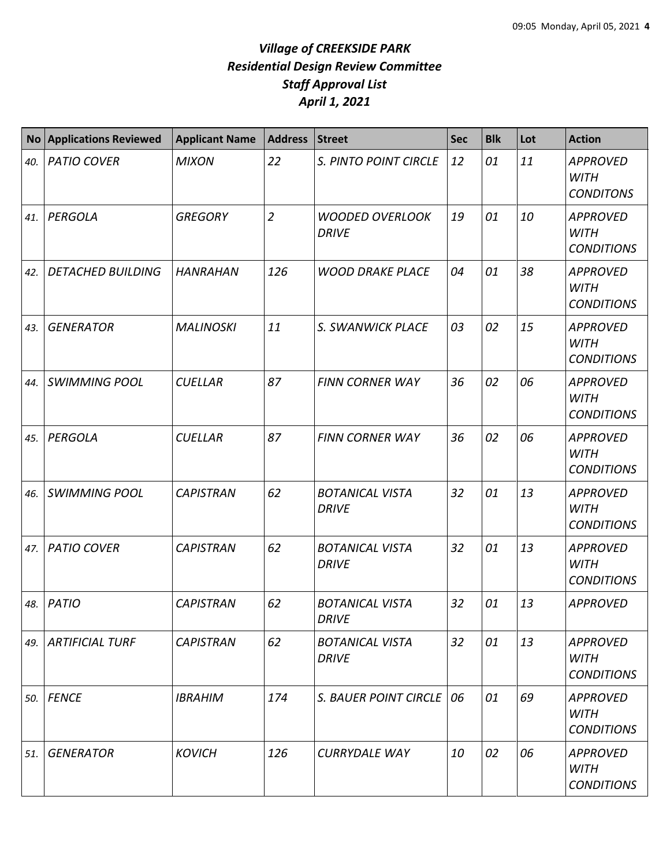| <b>No</b> | <b>Applications Reviewed</b> | <b>Applicant Name</b> | <b>Address</b> | <b>Street</b>                          | <b>Sec</b> | <b>Blk</b> | Lot | <b>Action</b>                                       |
|-----------|------------------------------|-----------------------|----------------|----------------------------------------|------------|------------|-----|-----------------------------------------------------|
| 40.       | <b>PATIO COVER</b>           | <b>MIXON</b>          | 22             | S. PINTO POINT CIRCLE                  | 12         | 01         | 11  | <b>APPROVED</b><br><b>WITH</b><br><b>CONDITONS</b>  |
| 41.       | PERGOLA                      | <b>GREGORY</b>        | $\overline{2}$ | <b>WOODED OVERLOOK</b><br><b>DRIVE</b> | 19         | 01         | 10  | <b>APPROVED</b><br><b>WITH</b><br><b>CONDITIONS</b> |
| 42.       | <b>DETACHED BUILDING</b>     | <b>HANRAHAN</b>       | 126            | <b>WOOD DRAKE PLACE</b>                | 04         | 01         | 38  | <b>APPROVED</b><br><b>WITH</b><br><b>CONDITIONS</b> |
| 43.       | <b>GENERATOR</b>             | <b>MALINOSKI</b>      | 11             | S. SWANWICK PLACE                      | 03         | 02         | 15  | <b>APPROVED</b><br><b>WITH</b><br><b>CONDITIONS</b> |
| 44.       | <b>SWIMMING POOL</b>         | <b>CUELLAR</b>        | 87             | <b>FINN CORNER WAY</b>                 | 36         | 02         | 06  | <b>APPROVED</b><br><b>WITH</b><br><b>CONDITIONS</b> |
| 45.       | PERGOLA                      | <b>CUELLAR</b>        | 87             | <b>FINN CORNER WAY</b>                 | 36         | 02         | 06  | <b>APPROVED</b><br><b>WITH</b><br><b>CONDITIONS</b> |
| 46.       | <b>SWIMMING POOL</b>         | <b>CAPISTRAN</b>      | 62             | <b>BOTANICAL VISTA</b><br><b>DRIVE</b> | 32         | 01         | 13  | <b>APPROVED</b><br><b>WITH</b><br><b>CONDITIONS</b> |
| 47.       | <b>PATIO COVER</b>           | <b>CAPISTRAN</b>      | 62             | <b>BOTANICAL VISTA</b><br><b>DRIVE</b> | 32         | 01         | 13  | <b>APPROVED</b><br><b>WITH</b><br><b>CONDITIONS</b> |
| 48.       | <b>PATIO</b>                 | <b>CAPISTRAN</b>      | 62             | <b>BOTANICAL VISTA</b><br><b>DRIVE</b> | 32         | 01         | 13  | <b>APPROVED</b>                                     |
| 49.       | <b>ARTIFICIAL TURF</b>       | <b>CAPISTRAN</b>      | 62             | <b>BOTANICAL VISTA</b><br><b>DRIVE</b> | 32         | 01         | 13  | <b>APPROVED</b><br><b>WITH</b><br><b>CONDITIONS</b> |
| 50.       | <b>FENCE</b>                 | <b>IBRAHIM</b>        | 174            | <b>S. BAUER POINT CIRCLE</b>           | 06         | 01         | 69  | <b>APPROVED</b><br><b>WITH</b><br><b>CONDITIONS</b> |
| 51.       | <b>GENERATOR</b>             | <b>KOVICH</b>         | 126            | <b>CURRYDALE WAY</b>                   | 10         | 02         | 06  | <b>APPROVED</b><br><b>WITH</b><br><b>CONDITIONS</b> |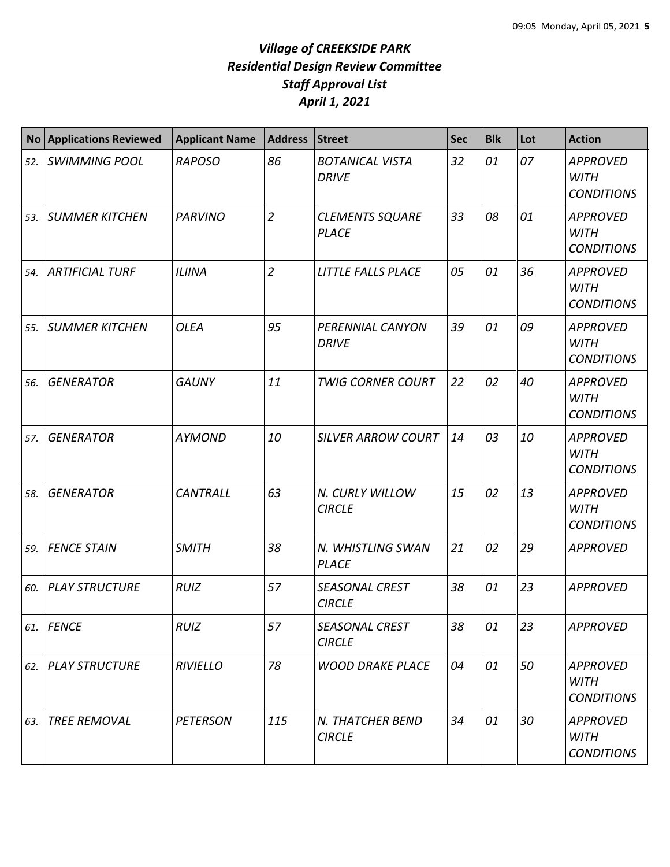| <b>No</b> | <b>Applications Reviewed</b> | <b>Applicant Name</b> | <b>Address</b> | <b>Street</b>                          | <b>Sec</b> | <b>Blk</b> | Lot | <b>Action</b>                                       |
|-----------|------------------------------|-----------------------|----------------|----------------------------------------|------------|------------|-----|-----------------------------------------------------|
| 52.       | <b>SWIMMING POOL</b>         | <b>RAPOSO</b>         | 86             | <b>BOTANICAL VISTA</b><br><b>DRIVE</b> | 32         | 01         | 07  | <b>APPROVED</b><br><b>WITH</b><br><b>CONDITIONS</b> |
| 53.       | <b>SUMMER KITCHEN</b>        | <b>PARVINO</b>        | $\overline{2}$ | <b>CLEMENTS SQUARE</b><br><b>PLACE</b> | 33         | 08         | 01  | <b>APPROVED</b><br><b>WITH</b><br><b>CONDITIONS</b> |
| 54.       | <b>ARTIFICIAL TURF</b>       | <b>ILIINA</b>         | $\overline{2}$ | <b>LITTLE FALLS PLACE</b>              | 05         | 01         | 36  | <b>APPROVED</b><br><b>WITH</b><br><b>CONDITIONS</b> |
| 55.       | <b>SUMMER KITCHEN</b>        | <b>OLEA</b>           | 95             | PERENNIAL CANYON<br><b>DRIVE</b>       | 39         | 01         | 09  | <b>APPROVED</b><br><b>WITH</b><br><b>CONDITIONS</b> |
| 56.       | <b>GENERATOR</b>             | <b>GAUNY</b>          | 11             | <b>TWIG CORNER COURT</b>               | 22         | 02         | 40  | <b>APPROVED</b><br><b>WITH</b><br><b>CONDITIONS</b> |
| 57.       | <b>GENERATOR</b>             | <b>AYMOND</b>         | 10             | <b>SILVER ARROW COURT</b>              | 14         | 03         | 10  | <b>APPROVED</b><br><b>WITH</b><br><b>CONDITIONS</b> |
| 58.       | <b>GENERATOR</b>             | <b>CANTRALL</b>       | 63             | N. CURLY WILLOW<br><b>CIRCLE</b>       | 15         | 02         | 13  | <b>APPROVED</b><br><b>WITH</b><br><b>CONDITIONS</b> |
| 59.       | <b>FENCE STAIN</b>           | <b>SMITH</b>          | 38             | N. WHISTLING SWAN<br><b>PLACE</b>      | 21         | 02         | 29  | <b>APPROVED</b>                                     |
| 60.       | <b>PLAY STRUCTURE</b>        | <b>RUIZ</b>           | 57             | <b>SEASONAL CREST</b><br><b>CIRCLE</b> | 38         | 01         | 23  | <b>APPROVED</b>                                     |
| 61.       | FENCE                        | <b>RUIZ</b>           | 57             | <b>SEASONAL CREST</b><br><b>CIRCLE</b> | 38         | 01         | 23  | <b>APPROVED</b>                                     |
| 62.       | <b>PLAY STRUCTURE</b>        | <b>RIVIELLO</b>       | 78             | <b>WOOD DRAKE PLACE</b>                | 04         | 01         | 50  | <b>APPROVED</b><br><b>WITH</b><br><b>CONDITIONS</b> |
| 63.       | <b>TREE REMOVAL</b>          | <b>PETERSON</b>       | 115            | N. THATCHER BEND<br><b>CIRCLE</b>      | 34         | 01         | 30  | <b>APPROVED</b><br><b>WITH</b><br><b>CONDITIONS</b> |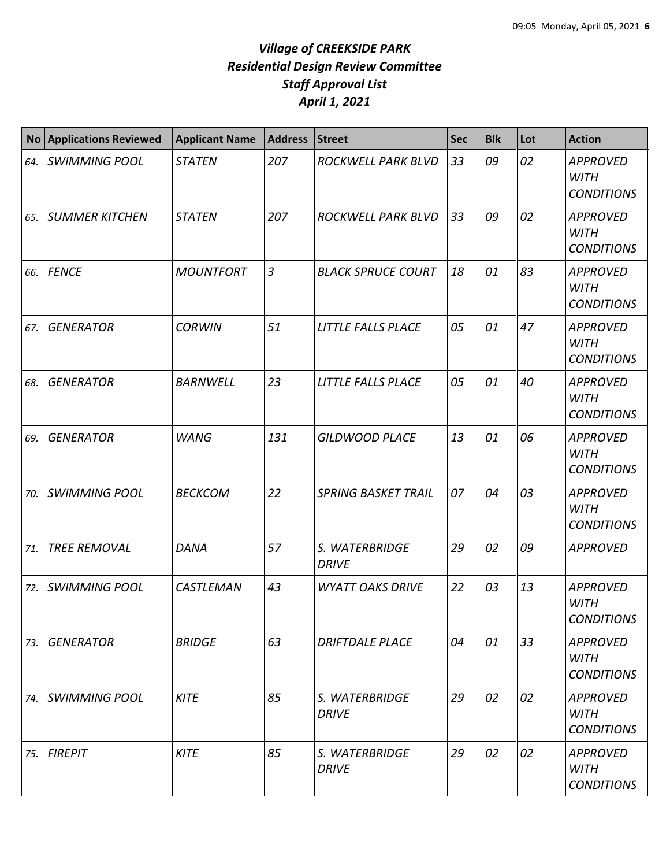| <b>No</b> | <b>Applications Reviewed</b> | <b>Applicant Name</b> | <b>Address</b> | <b>Street</b>                  | <b>Sec</b> | <b>Blk</b> | Lot | <b>Action</b>                                       |
|-----------|------------------------------|-----------------------|----------------|--------------------------------|------------|------------|-----|-----------------------------------------------------|
| 64.       | <b>SWIMMING POOL</b>         | <b>STATEN</b>         | 207            | ROCKWELL PARK BLVD             | 33         | 09         | 02  | <b>APPROVED</b><br><b>WITH</b><br><b>CONDITIONS</b> |
| 65.       | <b>SUMMER KITCHEN</b>        | <b>STATEN</b>         | 207            | ROCKWELL PARK BLVD             | 33         | 09         | 02  | <b>APPROVED</b><br><b>WITH</b><br><b>CONDITIONS</b> |
| 66.       | <b>FENCE</b>                 | <b>MOUNTFORT</b>      | $\overline{3}$ | <b>BLACK SPRUCE COURT</b>      | 18         | 01         | 83  | <b>APPROVED</b><br><b>WITH</b><br><b>CONDITIONS</b> |
| 67.       | <b>GENERATOR</b>             | <b>CORWIN</b>         | 51             | <b>LITTLE FALLS PLACE</b>      | 05         | 01         | 47  | <b>APPROVED</b><br><b>WITH</b><br><b>CONDITIONS</b> |
| 68.       | <b>GENERATOR</b>             | <b>BARNWELL</b>       | 23             | LITTLE FALLS PLACE             | 05         | 01         | 40  | <b>APPROVED</b><br><b>WITH</b><br><b>CONDITIONS</b> |
| 69.       | <b>GENERATOR</b>             | <b>WANG</b>           | 131            | <b>GILDWOOD PLACE</b>          | 13         | 01         | 06  | <b>APPROVED</b><br><b>WITH</b><br><b>CONDITIONS</b> |
| 70.       | <b>SWIMMING POOL</b>         | <b>BECKCOM</b>        | 22             | <b>SPRING BASKET TRAIL</b>     | 07         | 04         | 03  | <b>APPROVED</b><br><b>WITH</b><br><b>CONDITIONS</b> |
| 71.       | <b>TREE REMOVAL</b>          | <b>DANA</b>           | 57             | S. WATERBRIDGE<br><b>DRIVE</b> | 29         | 02         | 09  | <b>APPROVED</b>                                     |
| 72.       | <b>SWIMMING POOL</b>         | CASTLEMAN             | 43             | <b>WYATT OAKS DRIVE</b>        | 22         | 03         | 13  | <b>APPROVED</b><br><b>WITH</b><br><b>CONDITIONS</b> |
| 73.       | <b>GENERATOR</b>             | <b>BRIDGE</b>         | 63             | <b>DRIFTDALE PLACE</b>         | 04         | 01         | 33  | <b>APPROVED</b><br>WITH<br><b>CONDITIONS</b>        |
| 74.       | <b>SWIMMING POOL</b>         | <b>KITE</b>           | 85             | S. WATERBRIDGE<br><b>DRIVE</b> | 29         | 02         | 02  | <b>APPROVED</b><br><b>WITH</b><br><b>CONDITIONS</b> |
| 75.       | <b>FIREPIT</b>               | <b>KITE</b>           | 85             | S. WATERBRIDGE<br><b>DRIVE</b> | 29         | 02         | 02  | <b>APPROVED</b><br><b>WITH</b><br><b>CONDITIONS</b> |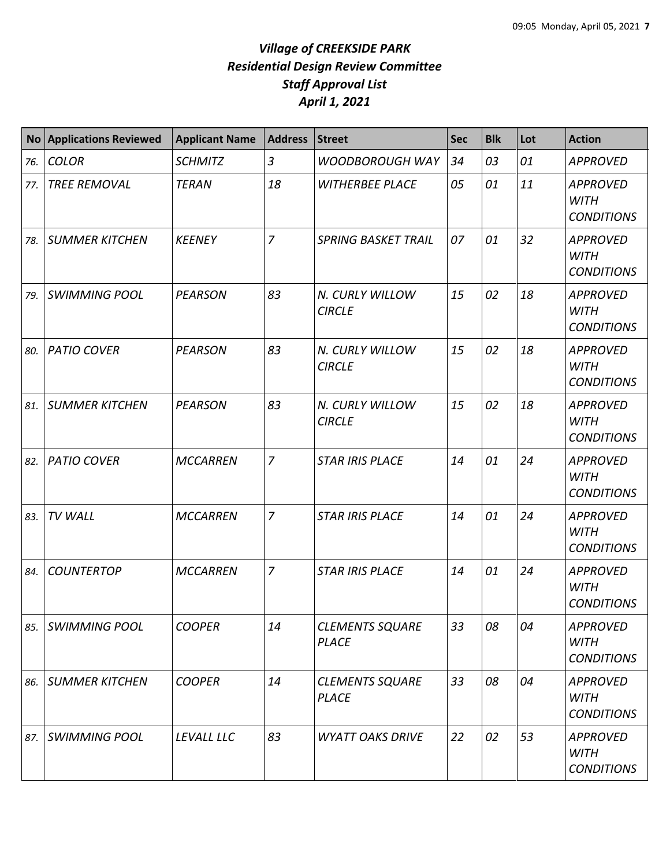| <b>No</b> | <b>Applications Reviewed</b> | <b>Applicant Name</b> | <b>Address</b> | <b>Street</b>                          | Sec | <b>Blk</b> | Lot | <b>Action</b>                                       |
|-----------|------------------------------|-----------------------|----------------|----------------------------------------|-----|------------|-----|-----------------------------------------------------|
| 76.       | <b>COLOR</b>                 | <b>SCHMITZ</b>        | 3              | <b>WOODBOROUGH WAY</b>                 | 34  | 03         | 01  | <b>APPROVED</b>                                     |
| 77.       | <b>TREE REMOVAL</b>          | <b>TERAN</b>          | 18             | <b>WITHERBEE PLACE</b>                 | 05  | 01         | 11  | <b>APPROVED</b><br><b>WITH</b><br><b>CONDITIONS</b> |
| 78.       | <b>SUMMER KITCHEN</b>        | <b>KEENEY</b>         | $\overline{7}$ | <b>SPRING BASKET TRAIL</b>             | 07  | 01         | 32  | <b>APPROVED</b><br><b>WITH</b><br><b>CONDITIONS</b> |
| 79.       | <b>SWIMMING POOL</b>         | <b>PEARSON</b>        | 83             | N. CURLY WILLOW<br><b>CIRCLE</b>       | 15  | 02         | 18  | <b>APPROVED</b><br><b>WITH</b><br><b>CONDITIONS</b> |
| 80.       | <b>PATIO COVER</b>           | <b>PEARSON</b>        | 83             | N. CURLY WILLOW<br><b>CIRCLE</b>       | 15  | 02         | 18  | <b>APPROVED</b><br><b>WITH</b><br><b>CONDITIONS</b> |
| 81.       | <b>SUMMER KITCHEN</b>        | <b>PEARSON</b>        | 83             | N. CURLY WILLOW<br><b>CIRCLE</b>       | 15  | 02         | 18  | <b>APPROVED</b><br><b>WITH</b><br><b>CONDITIONS</b> |
| 82.       | <b>PATIO COVER</b>           | <b>MCCARREN</b>       | $\overline{7}$ | <b>STAR IRIS PLACE</b>                 | 14  | 01         | 24  | <b>APPROVED</b><br><b>WITH</b><br><b>CONDITIONS</b> |
| 83.       | TV WALL                      | <b>MCCARREN</b>       | $\overline{7}$ | <b>STAR IRIS PLACE</b>                 | 14  | 01         | 24  | <b>APPROVED</b><br><b>WITH</b><br><b>CONDITIONS</b> |
| 84.       | <b>COUNTERTOP</b>            | <b>MCCARREN</b>       | $\overline{7}$ | <b>STAR IRIS PLACE</b>                 | 14  | 01         | 24  | <b>APPROVED</b><br><b>WITH</b><br><b>CONDITIONS</b> |
| 85.       | <b>SWIMMING POOL</b>         | <b>COOPER</b>         | 14             | <b>CLEMENTS SQUARE</b><br><b>PLACE</b> | 33  | 08         | 04  | <b>APPROVED</b><br><b>WITH</b><br><b>CONDITIONS</b> |
| 86.       | <b>SUMMER KITCHEN</b>        | <b>COOPER</b>         | 14             | <b>CLEMENTS SQUARE</b><br><b>PLACE</b> | 33  | 08         | 04  | <b>APPROVED</b><br><b>WITH</b><br><b>CONDITIONS</b> |
| 87.       | <b>SWIMMING POOL</b>         | LEVALL LLC            | 83             | <b>WYATT OAKS DRIVE</b>                | 22  | 02         | 53  | <b>APPROVED</b><br>WITH<br><b>CONDITIONS</b>        |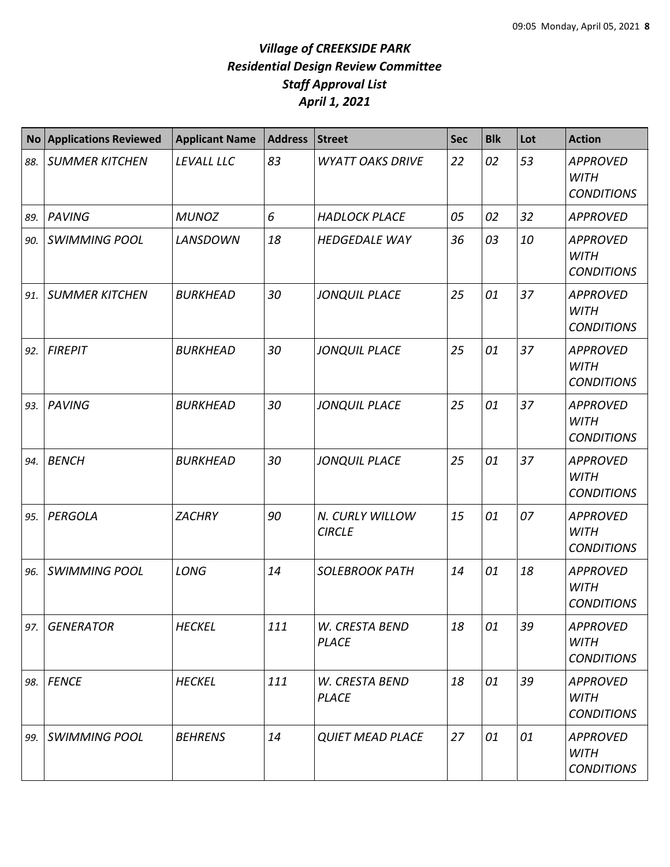| <b>No</b> | <b>Applications Reviewed</b> | <b>Applicant Name</b> | <b>Address</b> | <b>Street</b>                    | <b>Sec</b> | <b>Blk</b> | Lot | <b>Action</b>                                       |
|-----------|------------------------------|-----------------------|----------------|----------------------------------|------------|------------|-----|-----------------------------------------------------|
| 88.       | <b>SUMMER KITCHEN</b>        | LEVALL LLC            | 83             | <b>WYATT OAKS DRIVE</b>          | 22         | 02         | 53  | <b>APPROVED</b><br><b>WITH</b><br><b>CONDITIONS</b> |
| 89.       | <b>PAVING</b>                | <b>MUNOZ</b>          | 6              | <b>HADLOCK PLACE</b>             | 05         | 02         | 32  | <b>APPROVED</b>                                     |
| 90.       | <b>SWIMMING POOL</b>         | <b>LANSDOWN</b>       | 18             | <b>HEDGEDALE WAY</b>             | 36         | 03         | 10  | <b>APPROVED</b><br><b>WITH</b><br><b>CONDITIONS</b> |
| 91.       | <b>SUMMER KITCHEN</b>        | <b>BURKHEAD</b>       | 30             | <b>JONQUIL PLACE</b>             | 25         | 01         | 37  | <b>APPROVED</b><br><b>WITH</b><br><b>CONDITIONS</b> |
| 92.       | <b>FIREPIT</b>               | <b>BURKHEAD</b>       | 30             | <b>JONQUIL PLACE</b>             | 25         | 01         | 37  | <b>APPROVED</b><br><b>WITH</b><br><b>CONDITIONS</b> |
| 93.       | PAVING                       | <b>BURKHEAD</b>       | 30             | <b>JONQUIL PLACE</b>             | 25         | 01         | 37  | <b>APPROVED</b><br><b>WITH</b><br><b>CONDITIONS</b> |
| 94.       | <b>BENCH</b>                 | <b>BURKHEAD</b>       | 30             | <b>JONQUIL PLACE</b>             | 25         | 01         | 37  | <b>APPROVED</b><br><b>WITH</b><br><b>CONDITIONS</b> |
| 95.       | PERGOLA                      | <b>ZACHRY</b>         | 90             | N. CURLY WILLOW<br><b>CIRCLE</b> | 15         | 01         | 07  | <b>APPROVED</b><br><b>WITH</b><br><b>CONDITIONS</b> |
| 96.       | <b>SWIMMING POOL</b>         | LONG                  | 14             | <b>SOLEBROOK PATH</b>            | 14         | 01         | 18  | <b>APPROVED</b><br><b>WITH</b><br><b>CONDITIONS</b> |
| 97.       | <b>GENERATOR</b>             | <b>HECKEL</b>         | 111            | W. CRESTA BEND<br><b>PLACE</b>   | 18         | 01         | 39  | <b>APPROVED</b><br><b>WITH</b><br><b>CONDITIONS</b> |
| 98.       | <b>FENCE</b>                 | <b>HECKEL</b>         | 111            | W. CRESTA BEND<br><b>PLACE</b>   | 18         | 01         | 39  | <b>APPROVED</b><br><b>WITH</b><br><b>CONDITIONS</b> |
| 99.       | <b>SWIMMING POOL</b>         | <b>BEHRENS</b>        | 14             | <b>QUIET MEAD PLACE</b>          | 27         | 01         | 01  | <b>APPROVED</b><br><b>WITH</b><br><b>CONDITIONS</b> |